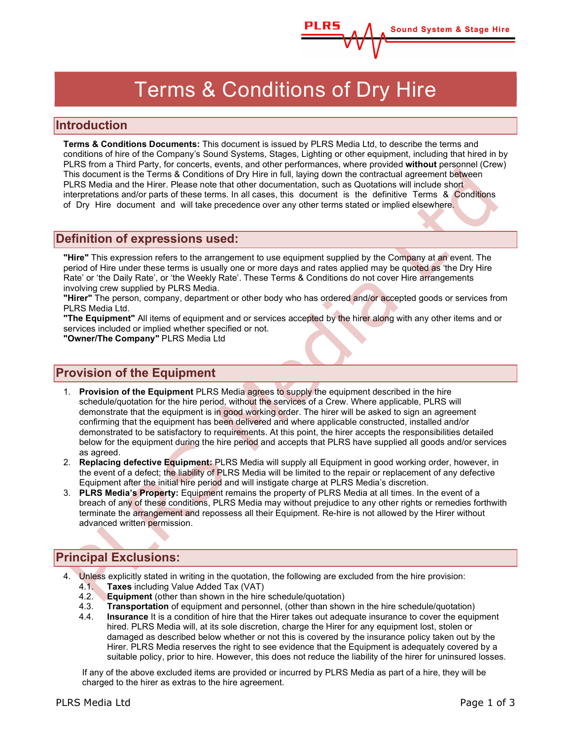# Terms & Conditions of Dry Hire

**Sound System & Stage Hire** 

### Introduction

Terms & Conditions Documents: This document is issued by PLRS Media Ltd, to describe the terms and conditions of hire of the Company's Sound Systems, Stages, Lighting or other equipment, including that hired in by PLRS from a Third Party, for concerts, events, and other performances, where provided without personnel (Crew) This document is the Terms & Conditions of Dry Hire in full, laying down the contractual agreement between PLRS Media and the Hirer. Please note that other documentation, such as Quotations will include short interpretations and/or parts of these terms. In all cases, this document is the definitive Terms & Conditions of Dry Hire document and will take precedence over any other terms stated or implied elsewhere.

#### Definition of expressions used:

"Hire" This expression refers to the arrangement to use equipment supplied by the Company at an event. The period of Hire under these terms is usually one or more days and rates applied may be quoted as 'the Dry Hire Rate' or 'the Daily Rate', or 'the Weekly Rate'. These Terms & Conditions do not cover Hire arrangements involving crew supplied by PLRS Media.

"Hirer" The person, company, department or other body who has ordered and/or accepted goods or services from PLRS Media Ltd.

"The Equipment" All items of equipment and or services accepted by the hirer along with any other items and or services included or implied whether specified or not.

"Owner/The Company" PLRS Media Ltd

### Provision of the Equipment

- 1. Provision of the Equipment PLRS Media agrees to supply the equipment described in the hire schedule/quotation for the hire period, without the services of a Crew. Where applicable, PLRS will demonstrate that the equipment is in good working order. The hirer will be asked to sign an agreement confirming that the equipment has been delivered and where applicable constructed, installed and/or demonstrated to be satisfactory to requirements. At this point, the hirer accepts the responsibilities detailed below for the equipment during the hire period and accepts that PLRS have supplied all goods and/or services as agreed.
- 2. Replacing defective Equipment: PLRS Media will supply all Equipment in good working order, however, in the event of a defect; the liability of PLRS Media will be limited to the repair or replacement of any defective Equipment after the initial hire period and will instigate charge at PLRS Media's discretion.
- 3. PLRS Media's Property: Equipment remains the property of PLRS Media at all times. In the event of a breach of any of these conditions, PLRS Media may without prejudice to any other rights or remedies forthwith terminate the arrangement and repossess all their Equipment. Re-hire is not allowed by the Hirer without advanced written permission.

### Principal Exclusions:

- 4. Unless explicitly stated in writing in the quotation, the following are excluded from the hire provision: 4.1. Taxes including Value Added Tax (VAT)
	- 4.2. Equipment (other than shown in the hire schedule/quotation)
	- 4.3. Transportation of equipment and personnel, (other than shown in the hire schedule/quotation)
	- 4.4. Insurance It is a condition of hire that the Hirer takes out adequate insurance to cover the equipment hired. PLRS Media will, at its sole discretion, charge the Hirer for any equipment lost, stolen or damaged as described below whether or not this is covered by the insurance policy taken out by the Hirer. PLRS Media reserves the right to see evidence that the Equipment is adequately covered by a suitable policy, prior to hire. However, this does not reduce the liability of the hirer for uninsured losses.

If any of the above excluded items are provided or incurred by PLRS Media as part of a hire, they will be charged to the hirer as extras to the hire agreement.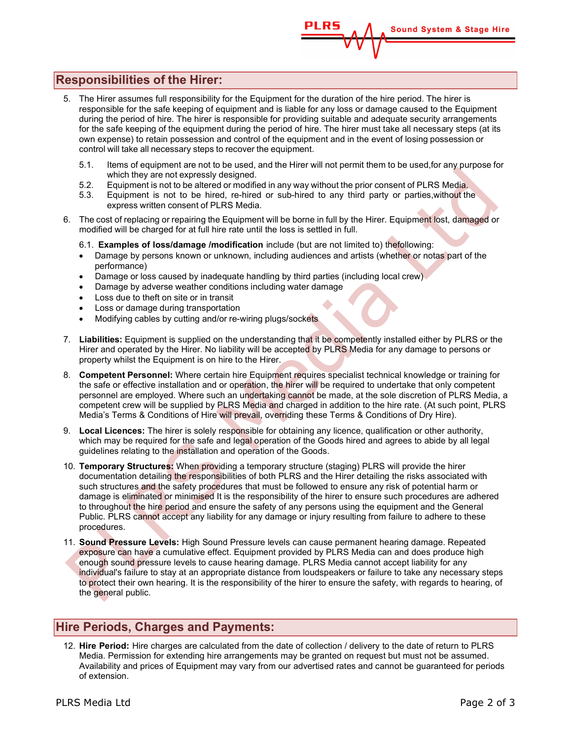# **Sound System & Stage Hire**

# Responsibilities of the Hirer:

- 5. The Hirer assumes full responsibility for the Equipment for the duration of the hire period. The hirer is responsible for the safe keeping of equipment and is liable for any loss or damage caused to the Equipment during the period of hire. The hirer is responsible for providing suitable and adequate security arrangements for the safe keeping of the equipment during the period of hire. The hirer must take all necessary steps (at its own expense) to retain possession and control of the equipment and in the event of losing possession or control will take all necessary steps to recover the equipment.
	- 5.1. Items of equipment are not to be used, and the Hirer will not permit them to be used, for any purpose for which they are not expressly designed.
	- 5.2. Equipment is not to be altered or modified in any way without the prior consent of PLRS Media.
	- 5.3. Equipment is not to be hired, re-hired or sub-hired to any third party or parties, without the express written consent of PLRS Media.
- 6. The cost of replacing or repairing the Equipment will be borne in full by the Hirer. Equipment lost, damaged or modified will be charged for at full hire rate until the loss is settled in full.
	- 6.1. Examples of loss/damage /modification include (but are not limited to) the following:
	- Damage by persons known or unknown, including audiences and artists (whether or notas part of the performance)
	- Damage or loss caused by inadequate handling by third parties (including local crew)
	- Damage by adverse weather conditions including water damage
	- Loss due to theft on site or in transit
	- Loss or damage during transportation
	- Modifying cables by cutting and/or re-wiring plugs/sockets
- 7. Liabilities: Equipment is supplied on the understanding that it be competently installed either by PLRS or the Hirer and operated by the Hirer. No liability will be accepted by PLRS Media for any damage to persons or property whilst the Equipment is on hire to the Hirer.
- 8. Competent Personnel: Where certain hire Equipment requires specialist technical knowledge or training for the safe or effective installation and or operation, the hirer will be required to undertake that only competent personnel are employed. Where such an undertaking cannot be made, at the sole discretion of PLRS Media, a competent crew will be supplied by PLRS Media and charged in addition to the hire rate. (At such point, PLRS Media's Terms & Conditions of Hire will prevail, overriding these Terms & Conditions of Dry Hire).
- 9. Local Licences: The hirer is solely responsible for obtaining any licence, qualification or other authority, which may be required for the safe and legal operation of the Goods hired and agrees to abide by all legal guidelines relating to the installation and operation of the Goods.
- 10. Temporary Structures: When providing a temporary structure (staging) PLRS will provide the hirer documentation detailing the responsibilities of both PLRS and the Hirer detailing the risks associated with such structures and the safety procedures that must be followed to ensure any risk of potential harm or damage is eliminated or minimised It is the responsibility of the hirer to ensure such procedures are adhered to throughout the hire period and ensure the safety of any persons using the equipment and the General Public. PLRS cannot accept any liability for any damage or injury resulting from failure to adhere to these procedures.
- 11. Sound Pressure Levels: High Sound Pressure levels can cause permanent hearing damage. Repeated exposure can have a cumulative effect. Equipment provided by PLRS Media can and does produce high enough sound pressure levels to cause hearing damage. PLRS Media cannot accept liability for any individual's failure to stay at an appropriate distance from loudspeakers or failure to take any necessary steps to protect their own hearing. It is the responsibility of the hirer to ensure the safety, with regards to hearing, of the general public.

### Hire Periods, Charges and Payments:

12. Hire Period: Hire charges are calculated from the date of collection / delivery to the date of return to PLRS Media. Permission for extending hire arrangements may be granted on request but must not be assumed. Availability and prices of Equipment may vary from our advertised rates and cannot be guaranteed for periods of extension.